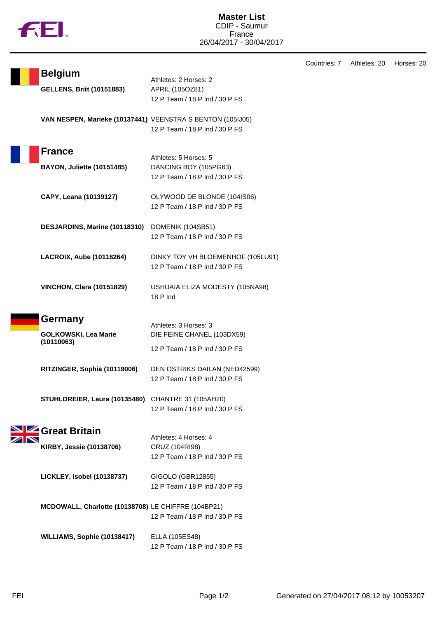|  | M |
|--|---|
|  |   |

Countries: 7 Athletes: 20 Horses: 20

| <b>Belgium</b>                                             | Athletes: 2 Horses: 2                            |
|------------------------------------------------------------|--------------------------------------------------|
| <b>GELLENS, Britt (10151883)</b>                           | APRIL (105OZ81)                                  |
|                                                            | 12 P Team / 18 P Ind / 30 P FS                   |
|                                                            |                                                  |
| VAN NESPEN, Marieke (10137441) VEENSTRA S BENTON (105IJ05) | 12 P Team / 18 P Ind / 30 P FS                   |
|                                                            |                                                  |
| <b>France</b>                                              |                                                  |
| <b>BAYON, Juliette (10151485)</b>                          | Athletes: 5 Horses: 5<br>DANCING BOY (105PG63)   |
|                                                            | 12 P Team / 18 P Ind / 30 P FS                   |
|                                                            |                                                  |
| CAPY, Leana (10139127)                                     | OLYWOOD DE BLONDE (104IS06)                      |
|                                                            | 12 P Team / 18 P Ind / 30 P FS                   |
| DESJARDINS, Marine (10118310) DOMENIK (104SB51)            |                                                  |
|                                                            | 12 P Team / 18 P Ind / 30 P FS                   |
|                                                            |                                                  |
| LACROIX, Aube (10118264)                                   | DINKY TOY VH BLOEMENHOF (105LU91)                |
|                                                            | 12 P Team / 18 P Ind / 30 P FS                   |
| <b>VINCHON, Clara (10151829)</b>                           | USHUAIA ELIZA MODESTY (105NA98)                  |
|                                                            | $18P$ Ind                                        |
|                                                            |                                                  |
|                                                            |                                                  |
| Germany                                                    |                                                  |
|                                                            | Athletes: 3 Horses: 3                            |
| <b>GOLKOWSKI, Lea Marie</b><br>(10110063)                  | DIE FEINE CHANEL (103DX59)                       |
|                                                            | 12 P Team / 18 P Ind / 30 P FS                   |
| RITZINGER, Sophia (10119006)                               | DEN OSTRIKS DAILAN (NED42599)                    |
|                                                            | 12 P Team / 18 P Ind / 30 P FS                   |
|                                                            |                                                  |
| STUHLDREIER, Laura (10135480) CHANTRE 31 (105AH20)         | 12 P Team / 18 P Ind / 30 P FS                   |
|                                                            |                                                  |
| <b>SIZ</b> Great Britain                                   |                                                  |
|                                                            | Athletes: 4 Horses: 4                            |
| KIRBY, Jessie (10138706)                                   | CRUZ (104RI98)<br>12 P Team / 18 P Ind / 30 P FS |
|                                                            |                                                  |
| LICKLEY, Isobel (10138737)                                 | GIGOLO (GBR12855)                                |
|                                                            | 12 P Team / 18 P Ind / 30 P FS                   |
|                                                            |                                                  |
| MCDOWALL, Charlotte (10138708) LE CHIFFRE (104BP21)        | 12 P Team / 18 P Ind / 30 P FS                   |
|                                                            |                                                  |
| WILLIAMS, Sophie (10138417)                                | ELLA (105ES48)<br>12 P Team / 18 P Ind / 30 P FS |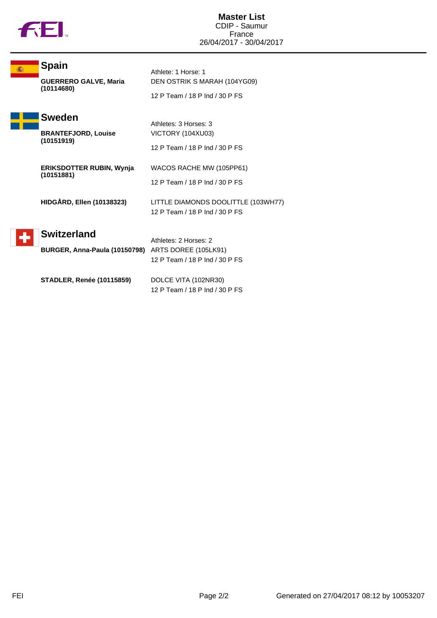

F

| <b>Spain</b><br><b>GUERRERO GALVE, Maria</b><br>(10114680)                                                   | Athlete: 1 Horse: 1<br>DEN OSTRIK S MARAH (104YG09)<br>12 P Team / 18 P Ind / 30 P FS          |
|--------------------------------------------------------------------------------------------------------------|------------------------------------------------------------------------------------------------|
| <b>Sweden</b><br><b>BRANTEFJORD, Louise</b><br>(10151919)                                                    | Athletes: 3 Horses: 3<br>VICTORY (104XU03)<br>12 P Team / 18 P Ind / 30 P FS                   |
| <b>ERIKSDOTTER RUBIN, Wynia</b><br>(10151881)                                                                | WACOS RACHE MW (105PP61)<br>12 P Team / 18 P Ind / 30 P FS                                     |
| <b>HIDGÅRD, Ellen (10138323)</b><br><b>Switzerland</b><br>BURGER, Anna-Paula (10150798) ARTS DOREE (105LK91) | LITTLE DIAMONDS DOOLITTLE (103WH77)<br>12 P Team / 18 P Ind / 30 P FS<br>Athletes: 2 Horses: 2 |
| <b>STADLER, Renée (10115859)</b>                                                                             | 12 P Team / 18 P Ind / 30 P FS<br>DOLCE VITA (102NR30)<br>12 P Team / 18 P Ind / 30 P FS       |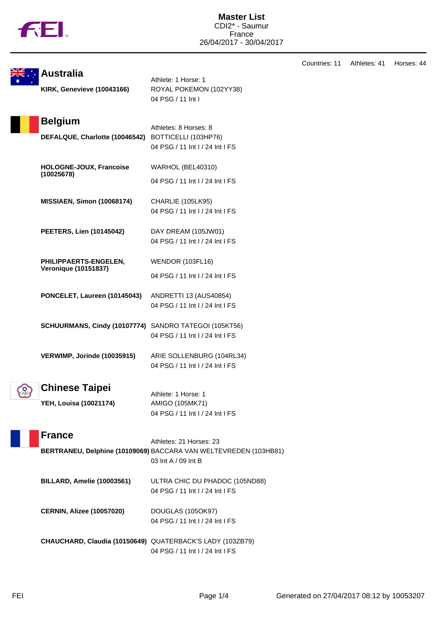

|             | <b>Australia</b>                                          |                                                                                         | Countries: 11 | Athletes: 41 | Horses: 44 |
|-------------|-----------------------------------------------------------|-----------------------------------------------------------------------------------------|---------------|--------------|------------|
|             | <b>KIRK, Genevieve (10043166)</b>                         | Athlete: 1 Horse: 1<br>ROYAL POKEMON (102YY38)<br>04 PSG / 11 Int I                     |               |              |            |
|             | <b>Belgium</b>                                            | Athletes: 8 Horses: 8                                                                   |               |              |            |
|             | DEFALQUE, Charlotte (10046542)                            | BOTTICELLI (103HP76)<br>04 PSG / 11 Int I / 24 Int I FS                                 |               |              |            |
|             | HOLOGNE-JOUX, Francoise<br>(10025678)                     | WARHOL (BEL40310)                                                                       |               |              |            |
|             |                                                           | 04 PSG / 11 Int I / 24 Int I FS                                                         |               |              |            |
|             | <b>MISSIAEN, Simon (10068174)</b>                         | CHARLIE (105LK95)<br>04 PSG / 11 Int I / 24 Int I FS                                    |               |              |            |
|             | <b>PEETERS, Lien (10145042)</b>                           | DAY DREAM (105JW01)<br>04 PSG / 11 Int I / 24 Int I FS                                  |               |              |            |
|             | PHILIPPAERTS-ENGELEN,<br><b>Veronique (10151837)</b>      | <b>WENDOR (103FL16)</b>                                                                 |               |              |            |
|             |                                                           | 04 PSG / 11 Int I / 24 Int I FS                                                         |               |              |            |
|             | PONCELET, Laureen (10145043)                              | ANDRETTI 13 (AUS40854)<br>04 PSG / 11 Int I / 24 Int I FS                               |               |              |            |
|             | SCHUURMANS, Cindy (10107774) SANDRO TATEGOI (105KT56)     | 04 PSG / 11 Int I / 24 Int I FS                                                         |               |              |            |
|             | VERWIMP, Jorinde (10035915)                               | ARIE SOLLENBURG (104RL34)<br>04 PSG / 11 Int I / 24 Int I FS                            |               |              |            |
| <b>ం</b> గ్ | <b>Chinese Taipei</b>                                     |                                                                                         |               |              |            |
|             | YEH, Louisa (10021174)                                    | Athlete: 1 Horse: 1<br>AMIGO (105MK71)<br>04 PSG / 11 Int I / 24 Int I FS               |               |              |            |
|             | <b>France</b>                                             | Athletes: 21 Horses: 23                                                                 |               |              |            |
|             |                                                           | BERTRANEU, Delphine (10109069) BACCARA VAN WELTEVREDEN (103HB81)<br>03 Int A / 09 Int B |               |              |            |
|             | BILLARD, Amelie (10003561)                                | ULTRA CHIC DU PHADOC (105ND88)<br>04 PSG / 11 Int I / 24 Int I FS                       |               |              |            |
|             | <b>CERNIN, Alizee (10057020)</b>                          | DOUGLAS (105OK97)<br>04 PSG / 11 Int I / 24 Int I FS                                    |               |              |            |
|             | CHAUCHARD, Claudia (10150649) QUATERBACK'S LADY (103ZB79) | 04 PSG / 11 Int I / 24 Int I FS                                                         |               |              |            |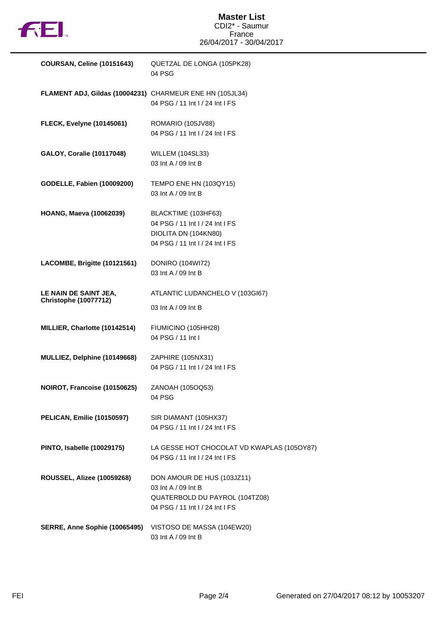

## **Master List** CDI2\* - Saumur France 26/04/2017 - 30/04/2017

| <b>COURSAN, Celine (10151643)</b>                        | QUETZAL DE LONGA (105PK28)<br>04 PSG                                                                                   |
|----------------------------------------------------------|------------------------------------------------------------------------------------------------------------------------|
| FLAMENT ADJ, Gildas (10004231) CHARMEUR ENE HN (105JL34) | 04 PSG / 11 Int I / 24 Int I FS                                                                                        |
| <b>FLECK, Evelyne (10145061)</b>                         | ROMARIO (105JV88)<br>04 PSG / 11 Int I / 24 Int I FS                                                                   |
| <b>GALOY, Coralie (10117048)</b>                         | <b>WILLEM (104SL33)</b><br>03 Int A / 09 Int B                                                                         |
| <b>GODELLE, Fabien (10009200)</b>                        | TEMPO ENE HN (103QY15)<br>03 Int A / 09 Int B                                                                          |
| <b>HOANG, Maeva (10062039)</b>                           | BLACKTIME (103HF63)<br>04 PSG / 11 Int I / 24 Int I FS<br>DIOLITA DN (104KN80)<br>04 PSG / 11 Int I / 24 Int I FS      |
| LACOMBE, Brigitte (10121561)                             | <b>DONIRO (104WI72)</b><br>03 Int A / 09 Int B                                                                         |
| LE NAIN DE SAINT JEA,<br><b>Christophe (10077712)</b>    | ATLANTIC LUDANCHELO V (103GI67)<br>03 Int A / 09 Int B                                                                 |
| MILLIER, Charlotte (10142514)                            | FIUMICINO (105HH28)<br>04 PSG / 11 Int I                                                                               |
| MULLIEZ, Delphine (10149668)                             | ZAPHIRE (105NX31)<br>04 PSG / 11 Int I / 24 Int I FS                                                                   |
| NOIROT, Francoise (10150625)                             | ZANOAH (105OQ53)<br>04 PSG                                                                                             |
| <b>PELICAN, Emilie (10150597)</b>                        | SIR DIAMANT (105HX37)<br>04 PSG / 11 Int I / 24 Int I FS                                                               |
| <b>PINTO, Isabelle (10029175)</b>                        | LA GESSE HOT CHOCOLAT VD KWAPLAS (105OY87)<br>04 PSG / 11 Int I / 24 Int I FS                                          |
| <b>ROUSSEL, Alizee (10059268)</b>                        | DON AMOUR DE HUS (103JZ11)<br>03 Int A / 09 Int B<br>QUATERBOLD DU PAYROL (104TZ08)<br>04 PSG / 11 Int I / 24 Int I FS |
| SERRE, Anne Sophie (10065495)                            | VISTOSO DE MASSA (104EW20)<br>03 Int A / 09 Int B                                                                      |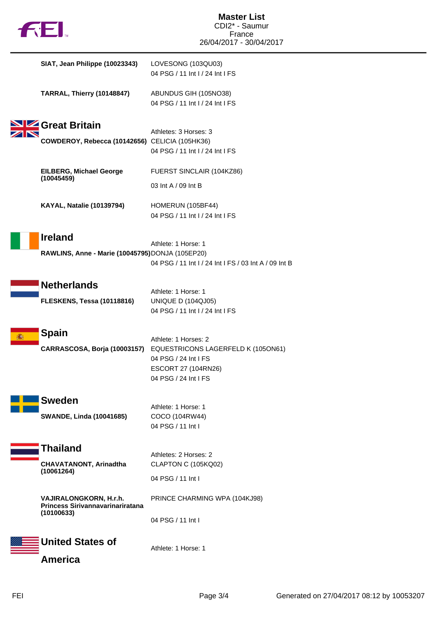| <b>AEI.</b>                                                              | <b>Master List</b><br>CDI2* - Saumur<br>France                                                                                    |
|--------------------------------------------------------------------------|-----------------------------------------------------------------------------------------------------------------------------------|
|                                                                          | 26/04/2017 - 30/04/2017                                                                                                           |
| SIAT, Jean Philippe (10023343)                                           | LOVESONG (103QU03)<br>04 PSG / 11 Int I / 24 Int I FS                                                                             |
| <b>TARRAL, Thierry (10148847)</b>                                        | ABUNDUS GIH (105NO38)<br>04 PSG / 11 Int I / 24 Int I FS                                                                          |
| Great Britain                                                            | Athletes: 3 Horses: 3                                                                                                             |
| COWDEROY, Rebecca (10142656) CELICIA (105HK36)                           | 04 PSG / 11 Int I / 24 Int I FS                                                                                                   |
| <b>EILBERG, Michael George</b><br>(10045459)                             | FUERST SINCLAIR (104KZ86)                                                                                                         |
|                                                                          | 03 Int A / 09 Int B                                                                                                               |
| <b>KAYAL, Natalie (10139794)</b>                                         | HOMERUN (105BF44)<br>04 PSG / 11 Int I / 24 Int I FS                                                                              |
| <b>Ireland</b><br>RAWLINS, Anne - Marie (10045795) DONJA (105EP20)       | Athlete: 1 Horse: 1<br>04 PSG / 11 Int I / 24 Int I FS / 03 Int A / 09 Int B                                                      |
| <b>Netherlands</b>                                                       |                                                                                                                                   |
| <b>FLESKENS, Tessa (10118816)</b>                                        | Athlete: 1 Horse: 1<br><b>UNIQUE D (104QJ05)</b><br>04 PSG / 11 Int I / 24 Int I FS                                               |
| <b>Spain</b><br>CARRASCOSA, Borja (10003157)                             | Athlete: 1 Horses: 2<br>EQUESTRICONS LAGERFELD K (105ON61)<br>04 PSG / 24 Int I FS<br>ESCORT 27 (104RN26)<br>04 PSG / 24 Int I FS |
| <b>Sweden</b>                                                            |                                                                                                                                   |
| <b>SWANDE, Linda (10041685)</b>                                          | Athlete: 1 Horse: 1<br>COCO (104RW44)<br>04 PSG / 11 Int I                                                                        |
| Thailand                                                                 |                                                                                                                                   |
| CHAVATANONT, Arinadtha                                                   | Athletes: 2 Horses: 2<br>CLAPTON C (105KQ02)                                                                                      |
| (10061264)                                                               | 04 PSG / 11 Int I                                                                                                                 |
| VAJIRALONGKORN, H.r.h.<br>Princess Sirivannavarinariratana<br>(10100633) | PRINCE CHARMING WPA (104KJ98)                                                                                                     |
|                                                                          | 04 PSG / 11 Int I                                                                                                                 |
| <b>United States of</b>                                                  | Athlete: 1 Horse: 1                                                                                                               |
| <b>America</b>                                                           |                                                                                                                                   |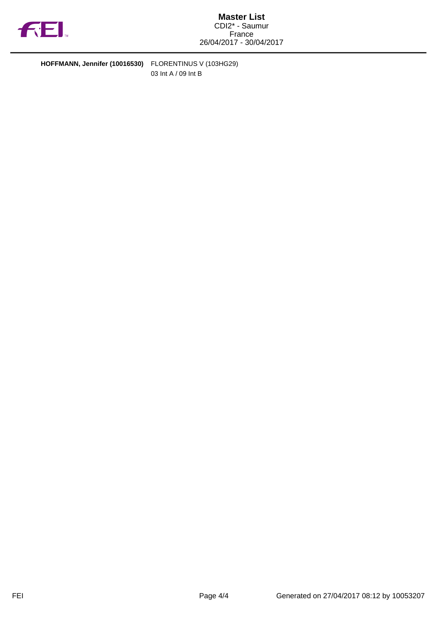

**HOFFMANN, Jennifer (10016530)** FLORENTINUS V (103HG29) 03 Int A / 09 Int B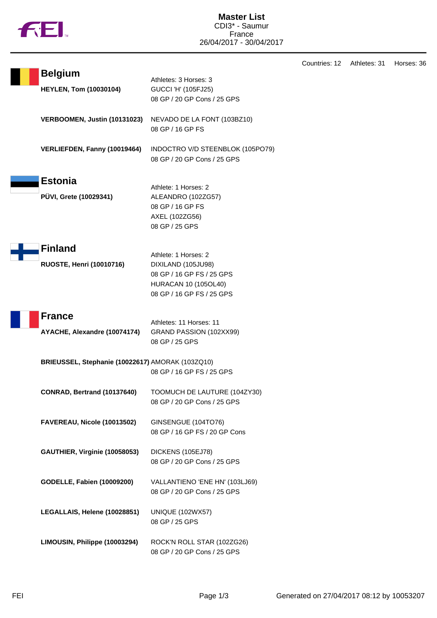

Countries: 12 Athletes: 31 Horses: 36

| <b>Belgium</b>                                   | Athletes: 3 Horses: 3                                     |
|--------------------------------------------------|-----------------------------------------------------------|
| <b>HEYLEN, Tom (10030104)</b>                    | <b>GUCCI 'H' (105FJ25)</b>                                |
|                                                  | 08 GP / 20 GP Cons / 25 GPS                               |
| VERBOOMEN, Justin (10131023)                     | NEVADO DE LA FONT (103BZ10)                               |
|                                                  | 08 GP / 16 GP FS                                          |
| VERLIEFDEN, Fanny (10019464)                     | INDOCTRO V/D STEENBLOK (105PO79)                          |
|                                                  | 08 GP / 20 GP Cons / 25 GPS                               |
| <b>Estonia</b>                                   |                                                           |
|                                                  | Athlete: 1 Horses: 2                                      |
| PÜVI, Grete (10029341)                           | ALEANDRO (102ZG57)<br>08 GP / 16 GP FS                    |
|                                                  | AXEL (102ZG56)                                            |
|                                                  | 08 GP / 25 GPS                                            |
|                                                  |                                                           |
| <b>Finland</b>                                   | Athlete: 1 Horses: 2                                      |
| <b>RUOSTE, Henri (10010716)</b>                  | DIXILAND (105JU98)                                        |
|                                                  | 08 GP / 16 GP FS / 25 GPS                                 |
|                                                  | <b>HURACAN 10 (105OL40)</b>                               |
|                                                  | 08 GP / 16 GP FS / 25 GPS                                 |
| <b>France</b>                                    |                                                           |
|                                                  | Athletes: 11 Horses: 11                                   |
| AYACHE, Alexandre (10074174)                     | GRAND PASSION (102XX99)                                   |
|                                                  | 08 GP / 25 GPS                                            |
| BRIEUSSEL, Stephanie (10022617) AMORAK (103ZQ10) |                                                           |
|                                                  | 08 GP / 16 GP FS / 25 GPS                                 |
| CONRAD, Bertrand (10137640)                      | TOOMUCH DE LAUTURE (104ZY30)                              |
|                                                  | 08 GP / 20 GP Cons / 25 GPS                               |
| FAVEREAU, Nicole (10013502)                      | GINSENGUE (104TO76)                                       |
|                                                  | 08 GP / 16 GP FS / 20 GP Cons                             |
|                                                  |                                                           |
| GAUTHIER, Virginie (10058053)                    | DICKENS (105EJ78)                                         |
|                                                  | 08 GP / 20 GP Cons / 25 GPS                               |
| <b>GODELLE, Fabien (10009200)</b>                | VALLANTIENO 'ENE HN' (103LJ69)                            |
|                                                  | 08 GP / 20 GP Cons / 25 GPS                               |
| LEGALLAIS, Helene (10028851)                     | <b>UNIQUE (102WX57)</b>                                   |
|                                                  | 08 GP / 25 GPS                                            |
|                                                  |                                                           |
| LIMOUSIN, Philippe (10003294)                    | ROCK'N ROLL STAR (102ZG26)<br>08 GP / 20 GP Cons / 25 GPS |
|                                                  |                                                           |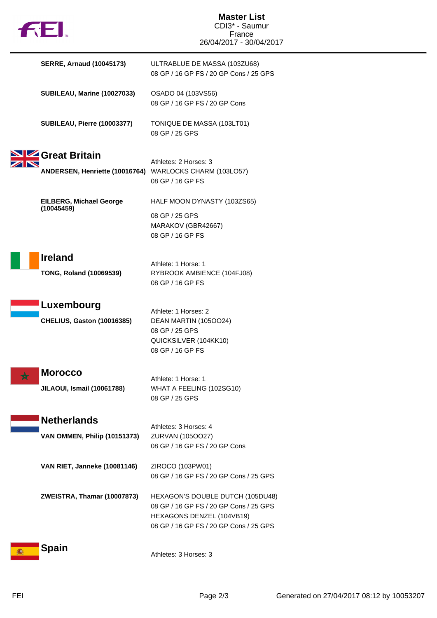| <b>AEI.</b>                                                              | <b>Master List</b><br>CDI3* - Saumur<br>France<br>26/04/2017 - 30/04/2017                                                                         |
|--------------------------------------------------------------------------|---------------------------------------------------------------------------------------------------------------------------------------------------|
| <b>SERRE, Arnaud (10045173)</b>                                          | ULTRABLUE DE MASSA (103ZU68)<br>08 GP / 16 GP FS / 20 GP Cons / 25 GPS                                                                            |
| <b>SUBILEAU, Marine (10027033)</b>                                       | OSADO 04 (103VS56)<br>08 GP / 16 GP FS / 20 GP Cons                                                                                               |
| <b>SUBILEAU, Pierre (10003377)</b>                                       | TONIQUE DE MASSA (103LT01)<br>08 GP / 25 GPS                                                                                                      |
| Great Britain<br>ANDERSEN, Henriette (10016764) WARLOCKS CHARM (103LO57) | Athletes: 2 Horses: 3<br>08 GP / 16 GP FS                                                                                                         |
| <b>EILBERG, Michael George</b>                                           | HALF MOON DYNASTY (103ZS65)                                                                                                                       |
| (10045459)                                                               | 08 GP / 25 GPS<br>MARAKOV (GBR42667)<br>08 GP / 16 GP FS                                                                                          |
| <b>Ireland</b>                                                           |                                                                                                                                                   |
| <b>TONG, Roland (10069539)</b>                                           | Athlete: 1 Horse: 1<br>RYBROOK AMBIENCE (104FJ08)<br>08 GP / 16 GP FS                                                                             |
| Luxembourg                                                               |                                                                                                                                                   |
| <b>CHELIUS, Gaston (10016385)</b>                                        | Athlete: 1 Horses: 2<br>DEAN MARTIN (105OO24)<br>08 GP / 25 GPS<br>QUICKSILVER (104KK10)<br>08 GP / 16 GP FS                                      |
| <b>Morocco</b>                                                           |                                                                                                                                                   |
| <b>JILAOUI, Ismail (10061788)</b>                                        | Athlete: 1 Horse: 1<br>WHAT A FEELING (102SG10)<br>08 GP / 25 GPS                                                                                 |
| <b>Netherlands</b>                                                       |                                                                                                                                                   |
| <b>VAN OMMEN, Philip (10151373)</b>                                      | Athletes: 3 Horses: 4<br>ZURVAN (105OO27)<br>08 GP / 16 GP FS / 20 GP Cons                                                                        |
| VAN RIET, Janneke (10081146)                                             | ZIROCO (103PW01)<br>08 GP / 16 GP FS / 20 GP Cons / 25 GPS                                                                                        |
| ZWEISTRA, Thamar (10007873)                                              | HEXAGON'S DOUBLE DUTCH (105DU48)<br>08 GP / 16 GP FS / 20 GP Cons / 25 GPS<br>HEXAGONS DENZEL (104VB19)<br>08 GP / 16 GP FS / 20 GP Cons / 25 GPS |
| <b>Spain</b>                                                             | Athletes: 3 Horses: 3                                                                                                                             |